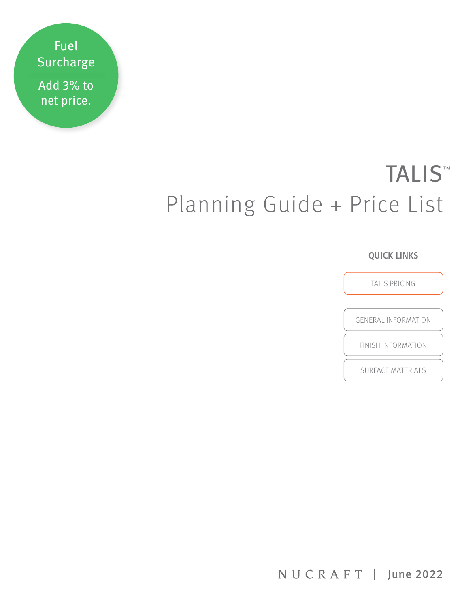Fuel Surcharge Add 3% to

net price.

# TALIS<sup>™</sup> Planning Guide + Price List

# **QUICK LINKS**

[TALIS PRICING](#page-1-0)

[GENERAL INFORMATION](#page-4-0)

[FINISH INFORMATION](#page-5-0)

[SURFACE MATERIALS](#page-6-0)

NUCRAFT | June 2022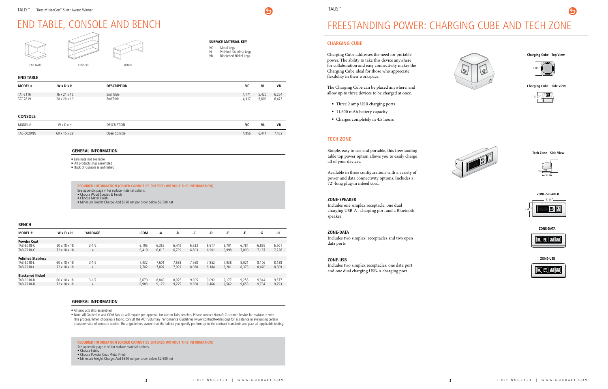# <span id="page-1-0"></span>END TABLE, CONSOLE AND BENCH

#### **END TABLE**

| <b>MODEL#</b> | WxDxH                    | <b>DESCRIPTION</b> | -VC   | -VL   | -VB   |
|---------------|--------------------------|--------------------|-------|-------|-------|
| TAT-2116      | $16 \times 21 \times 16$ | End Table          | 4.171 | 420,د | 6,254 |
| TAT-2619      | 20 x 26 x 19             | End Table          | 4317  | 5,609 | 6,473 |

#### **CONSOLE**

| MODEL #    | MvDv         | <b>CRIPTION</b><br>DES (<br>the contract of the contract of the contract of the contract of the contract of | -VC   | -VI   | -VB  |
|------------|--------------|-------------------------------------------------------------------------------------------------------------|-------|-------|------|
| TAC-6029NN | 60 x 15 x 29 | Open Console                                                                                                | 1,956 | 6,441 | 432, |

**SURFACE MATERIAL KEY**

VC Metal Legs

6

- VL Polished Stainless Legs VB Blackened Nickel Legs
- 

#### **GENERAL INFORMATION**

- **Laminate not available**
- All products ship assembled
- Back of Console is unfinished

**REQUIRED INFORMATION (ORDER CANNOT BE ENTERED WITHOUT THIS INFORMATION)** See appendix page vi for surface material options. Choose Wood Species & Finish **Choose Metal Finish** 

#### **GENERAL INFORMATION**

All products ship assembled

 Note: All Graded-In and COM fabrics will require pre-approval for use on Talis benches. Please contact Nucraft Customer Service for assistance with this process. When choosing a fabric, consult the ACT Voluntary Performance Guidelines (www.contracttextiles.org) for assistance in evaluating certain characteristics of contract textiles. These guidelines assure that the fabrics you specify perform up to the contract standards and pass all applicable testing.



Minimum Freight Charge: Add \$390 net per order below \$2,500 net

**REQUIRED INFORMATION (ORDER CANNOT BE ENTERED WITHOUT THIS INFORMATION)** See appendix page vi-vii for surface material options. **Choose Fabric** Choose Powder Coat Metal Finish

Minimum Freight Charge: Add \$390 net per order below \$2,500 net

#### **BENCH**

| <b>MODEL#</b>             | WxDxH        | YARDAGE        | -COM  | -A    | -B    | -C    | -D    | -E    | -F    | -G    | -н    |
|---------------------------|--------------|----------------|-------|-------|-------|-------|-------|-------|-------|-------|-------|
| <b>Powder Coat</b>        |              |                |       |       |       |       |       |       |       |       |       |
| TAB-6018-C                | 60 x 18 x 18 | $3 - 1/2$      | 6,195 | 6,365 | 6,449 | 6,532 | 6,617 | 6,701 | 6.784 | 6,869 | 6,901 |
| TAB-7218-C                | 72 x 18 x 18 | 4              | 6,419 | 6,613 | 6,709 | 6,803 | 6,901 | 6,998 | 7,090 | 7,187 | 7,226 |
|                           |              |                |       |       |       |       |       |       |       |       |       |
| <b>Polished Stainless</b> |              |                |       |       |       |       |       |       |       |       |       |
| TAB-6018-L                | 60 x 18 x 18 | $3 - 1/2$      | 7,432 | 7,601 | 7,688 | 7,768 | 7,852 | 7.938 | 8,021 | 8.106 | 8,138 |
| TAB-7218-L                | 72 x 18 x 18 | 4              | 7.702 | 7,897 | 7.993 | 8,088 | 8,184 | 8,281 | 8,375 | 8,470 | 8,509 |
|                           |              |                |       |       |       |       |       |       |       |       |       |
| <b>Blackened Nickel</b>   |              |                |       |       |       |       |       |       |       |       |       |
| TAB-6018-B                | 60 x 18 x 18 | $3 - 1/2$      | 8.670 | 8.840 | 8,925 | 9,005 | 9,092 | 9,177 | 9,258 | 9,344 | 9,377 |
| TAB-7218-B                | 72 x 18 x 18 | $\overline{4}$ | 8,983 | 9.179 | 9,275 | 9,368 | 9,466 | 9,562 | 9,655 | 9,754 | 9,793 |
|                           |              |                |       |       |       |       |       |       |       |       |       |

#### **CHARGING CUBE**

Charging Cube addresses the need for portable power. The ability to take this device anywhere for collaboration and easy connectivity makes the Charging Cube ideal for those who appreciate flexibility in their workspace.

The Charging Cube can be placed anywhere, and allow up to three devices to be charged at once.

- Three 2 amp USB charging ports
- 11,600 mAh battery capacity
- Charges completely in 4.5 hours

**Charging Cube - Top View**

 $\blacktriangleleft$ 

**Charging Cube - Side View**

#### **TECH ZONE**

Simple, easy to use and portable, this freestanding table top power option allows you to easily charge all of your devices.

Available in three configurations with a variety of power and data connectivity options. Includes a 72"-long plug-in infeed cord.

#### **ZONE-SPEAKER**

Includes one simplex receptacle, one dual charging USB-A charging port and a Bluetooth speaker

#### **ZONE-DATA**

Includes two simplex receptacles and two open data ports

#### **ZONE-USB**

Includes two simplex receptacles, one data port and one dual charging USB-A charging port





**ZONE-USB**



**Tech Zone - Side View**











# FREESTANDING POWER: CHARGING CUBE AND TECH ZONE

# TALIS™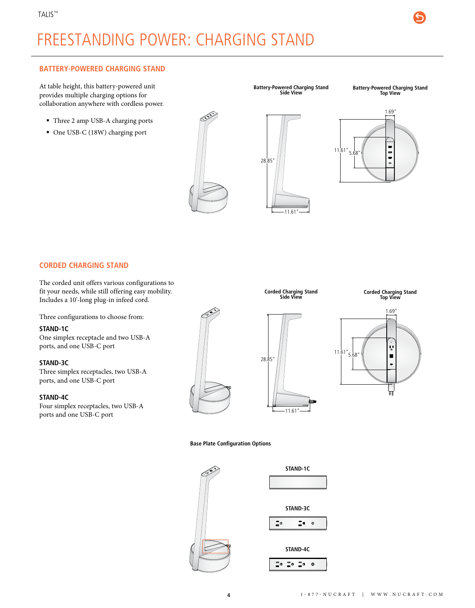# FREESTANDING POWER: CHARGING STAND

#### **BATTERY-POWERED CHARGING STAND**

At table height, this battery-powered unit provides multiple charging options for collaboration anywhere with cordless power.

- Three 2 amp USB-A charging ports
- One USB-C (18W) charging port

**Battery-Powered Charging Stand Side View**

**Battery-Powered Charging Stand Top View**





#### **CORDED CHARGING STAND**

The corded unit offers various configurations to fit your needs, while still offering easy mobility. Includes a 10'-long plug-in infeed cord.

Three configurations to choose from:

#### **STAND-1C**

One simplex receptacle and two USB-A ports, and one USB-C port

#### **STAND-3C**

Three simplex receptacles, two USB-A ports, and one USB-C port

#### **STAND-4C**

Four simplex receptacles, two USB-A ports and one USB-C port



**Corded Charging Stand Side View**

11.61"

**Corded Charging Stand Top View**





**Base Plate Configuration Options**



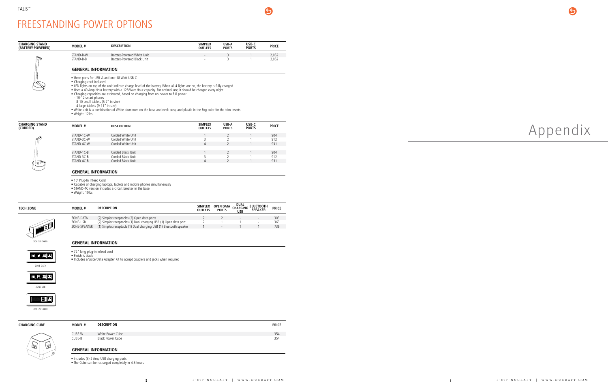| <b>CHARGING STAND</b><br>(CORDED) | <b>MODEL#</b>           | <b>DESCRIPTION</b> | <b>SIMPLEX</b><br><b>OUTLETS</b> | USB-A<br><b>PORTS</b> | USB-C<br><b>PORTS</b> | <b>PRICE</b> |
|-----------------------------------|-------------------------|--------------------|----------------------------------|-----------------------|-----------------------|--------------|
|                                   | STAND-1C-W              | Corded White Unit  |                                  |                       |                       | 904          |
| E <sup>SS</sup>                   | STAND-3C-W              | Corded White Unit  |                                  |                       |                       | 912          |
|                                   | STAND-4C-W              | Corded White Unit  | 4                                |                       |                       | 931          |
|                                   |                         |                    |                                  |                       |                       |              |
|                                   | STAND-1C-B              | Corded Black Unit  |                                  |                       |                       | 904          |
|                                   | STAND-3C-B              | Corded Black Unit  |                                  |                       |                       | 912          |
|                                   | STAND-4C-B              | Corded Black Unit  | 4                                |                       |                       | 931          |
|                                   | CENIEDAL INIFODIAATIONI |                    |                                  |                       |                       |              |

| <b>CHARGING STAND</b><br>(BATTERY-POWERED) | <b>MODEL#</b>              | <b>DESCRIPTION</b>         | <b>SIMPLEX</b><br><b>OUTLETS</b> | USB-A<br><b>PORTS</b> | USB-C<br><b>PORTS</b> | <b>PRICE</b> |
|--------------------------------------------|----------------------------|----------------------------|----------------------------------|-----------------------|-----------------------|--------------|
|                                            | STAND-B-W                  | Battery-Powered White Unit | $\overline{\phantom{a}}$         |                       |                       | 2,052        |
| $\mathbb{R}$                               | STAND-B-B                  | Battery-Powered Black Unit | $\overline{\phantom{a}}$         |                       |                       | 2,052        |
|                                            | <b>GENERAL INFORMATION</b> |                            |                                  |                       |                       |              |

6

| TECH ZONE | <b>MODEL#</b> | <b>DESCRIPTION</b>                                                 | <b>SIMPLEX</b><br><b>OUTLETS</b> | <b>OPEN DATA</b><br><b>PORTS</b> | <b>DUAL</b><br><b>CHARGING</b><br><b>USB</b> | <b>BLUETOOTH</b><br><b>SPEAKER</b> | <b>PRICE</b> |
|-----------|---------------|--------------------------------------------------------------------|----------------------------------|----------------------------------|----------------------------------------------|------------------------------------|--------------|
|           |               |                                                                    |                                  |                                  |                                              |                                    |              |
|           | ZONE-DATA     | (2) Simplex receptacles (2) Open data ports                        |                                  |                                  | $\overline{\phantom{a}}$                     | $\overline{\phantom{a}}$           | 303          |
|           | ZONE-USB      | (2) Simplex receptacles (1) Dual charging USB (1) Open data port   |                                  |                                  |                                              | $\overline{\phantom{a}}$           | 363          |
|           | ZONE-SPEAKER  | (1) Simplex receptacle (1) Dual charging USB (1) Bluetooth speaker |                                  | $\overline{\phantom{a}}$         |                                              |                                    | 736          |
|           |               |                                                                    |                                  |                                  |                                              |                                    |              |

# FREESTANDING POWER OPTIONS

Three ports for USB-A and one 18 Watt USB-C

Charging cord included

LED lights on top of the unit indicate charge level of the battery. When all 4 lights are on, the battery is fully charged.

Uses a 40 Amp Hour battery with a 128 Watt Hour capacity. For optimal use, it should be charged every night.

Charging capacities are estimated, based on charging from no power to full power.

- 10-12 smart phones

| CHARGING CUBE | <b>MODEL#</b>    | <b>DESCRIPTION</b>                          | <b>PRICE</b> |
|---------------|------------------|---------------------------------------------|--------------|
|               | CUBE-W<br>CUBE-B | White Power Cube<br><b>Black Power Cube</b> | 354<br>354   |
| احا<br>الحي   |                  | <b>GENERAL INFORMATION</b>                  |              |
|               |                  | Includes (3) 2 Amn LISR charning ports      |              |

- 8-10 small tablets (5-7" in size)

- 4 large tablets (9-11" in size) White unit is a combination of White aluminum on the base and neck area, and plastic in the Fog color for the trim inserts

|  | ■ Weight: 12lbs |  |
|--|-----------------|--|
|  |                 |  |

#### **GENERAL INFORMATION**

10' Plug-In Infeed Cord

Capable of charging laptops, tablets and mobile phones simultaneously

STAND-4C version includes a circuit breaker in the base

Weight: 10lbs

# **GENERAL INFORMATION**



 72" long plug-in infeed cord Finish is black Includes a Voice/Data Adapter Kit to accept couplers and jacks when required

Includes (3) 2 Amp USB charging ports The Cube can be recharged completely in 4.5 hours



ZONE-SPEAKER



**OB**OO

ZONE-USB



ZONE-SPEAKER

# Appendix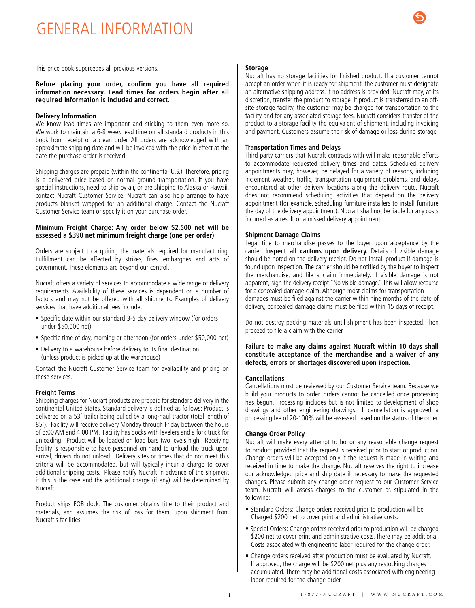# <span id="page-4-0"></span>GENERAL INFORMATION



This price book supercedes all previous versions.

# **Storage**

**Before placing your order, confirm you have all required information necessary. Lead times for orders begin after all required information is included and correct.** 

#### **Delivery Information**

We know lead times are important and sticking to them even more so. We work to maintain a 6-8 week lead time on all standard products in this book from receipt of a clean order. All orders are acknowledged with an approximate shipping date and will be invoiced with the price in effect at the date the purchase order is received.

Shipping charges are prepaid (within the continental U.S.). Therefore, pricing is a delivered price based on normal ground transportation. If you have special instructions, need to ship by air, or are shipping to Alaska or Hawaii, contact Nucraft Customer Service. Nucraft can also help arrange to have products blanket wrapped for an additional charge. Contact the Nucraft Customer Service team or specify it on your purchase order.

#### **Minimum Freight Charge: Any order below \$2,500 net will be assessed a \$390 net minimum freight charge (one per order).**

Orders are subject to acquiring the materials required for manufacturing. Fulfillment can be affected by strikes, fires, embargoes and acts of government. These elements are beyond our control.

Nucraft offers a variety of services to accommodate a wide range of delivery requirements. Availability of these services is dependent on a number of factors and may not be offered with all shipments. Examples of delivery services that have additional fees include:

- Specific date within our standard 3-5 day delivery window (for orders under \$50,000 net)
- Specific time of day, morning or afternoon (for orders under \$50,000 net)
- Delivery to a warehouse before delivery to its final destination (unless product is picked up at the warehouse)

Contact the Nucraft Customer Service team for availability and pricing on these services.

#### **Freight Terms**

Shipping charges for Nucraft products are prepaid for standard delivery in the continental United States. Standard delivery is defined as follows: Product is delivered on a 53' trailer being pulled by a long-haul tractor (total length of 85'). Facility will receive delivery Monday through Friday between the hours of 8:00 AM and 4:00 PM. Facility has docks with levelers and a fork truck for unloading. Product will be loaded on load bars two levels high. Receiving facility is responsible to have personnel on hand to unload the truck upon arrival, drivers do not unload. Delivery sites or times that do not meet this criteria will be accommodated, but will typically incur a charge to cover additional shipping costs. Please notify Nucraft in advance of the shipment if this is the case and the additional charge (if any) will be determined by Nucraft.

Product ships FOB dock. The customer obtains title to their product and materials, and assumes the risk of loss for them, upon shipment from Nucraft's facilities.

Nucraft has no storage facilities for finished product. If a customer cannot accept an order when it is ready for shipment, the customer must designate an alternative shipping address. If no address is provided, Nucraft may, at its discretion, transfer the product to storage. If product is transferred to an offsite storage facility, the customer may be charged for transportation to the facility and for any associated storage fees. Nucraft considers transfer of the product to a storage facility the equivalent of shipment, including invoicing and payment. Customers assume the risk of damage or loss during storage.

#### **Transportation Times and Delays**

Third party carriers that Nucraft contracts with will make reasonable efforts to accommodate requested delivery times and dates. Scheduled delivery appointments may, however, be delayed for a variety of reasons, including inclement weather, traffic, transportation equipment problems, and delays encountered at other delivery locations along the delivery route. Nucraft does not recommend scheduling activities that depend on the delivery appointment (for example, scheduling furniture installers to install furniture the day of the delivery appointment). Nucraft shall not be liable for any costs incurred as a result of a missed delivery appointment.

#### **Shipment Damage Claims**

Legal title to merchandise passes to the buyer upon acceptance by the carrier. **Inspect all cartons upon delivery.** Details of visible damage should be noted on the delivery receipt. Do not install product if damage is found upon inspection. The carrier should be notified by the buyer to inspect the merchandise, and file a claim immediately. If visible damage is not apparent, sign the delivery receipt "No visible damage." This will allow recourse for a concealed damage claim. Although most claims for transportation

damages must be filed against the carrier within nine months of the date of delivery, concealed damage claims must be filed within 15 days of receipt.

Do not destroy packing materials until shipment has been inspected. Then proceed to file a claim with the carrier.

**Failure to make any claims against Nucraft within 10 days shall constitute acceptance of the merchandise and a waiver of any defects, errors or shortages discovered upon inspection.**

#### **Cancellations**

Cancellations must be reviewed by our Customer Service team. Because we build your products to order, orders cannot be cancelled once processing has begun. Processing includes but is not limited to development of shop drawings and other engineering drawings. If cancellation is approved, a processing fee of 20-100% will be assessed based on the status of the order.

#### **Change Order Policy**

Nucraft will make every attempt to honor any reasonable change request to product provided that the request is received prior to start of production. Change orders will be accepted only if the request is made in writing and received in time to make the change. Nucraft reserves the right to increase our acknowledged price and ship date if necessary to make the requested changes. Please submit any change order request to our Customer Service team. Nucraft will assess charges to the customer as stipulated in the following:

- Standard Orders: Change orders received prior to production will be Charged \$200 net to cover print and administrative costs.
- Special Orders: Change orders received prior to production will be charged \$200 net to cover print and administrative costs. There may be additional Costs associated with engineering labor required for the change order.
- Change orders received after production must be evaluated by Nucraft. If approved, the charge will be \$200 net plus any restocking charges accumulated. There may be additional costs associated with engineering labor required for the change order.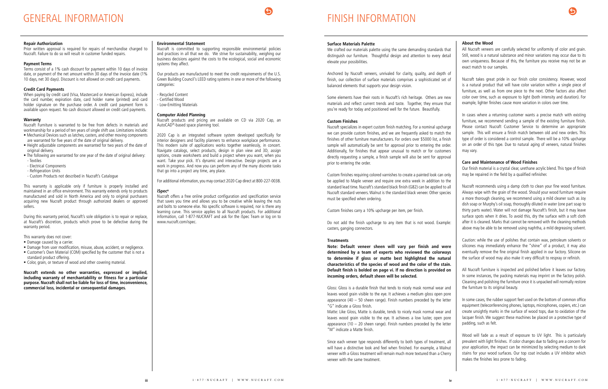#### **Surface Materials Palette**

Anchored by Nucraft veneers, unrivaled for clarity, quality, and depth of finish, our collection of surface materials comprises a sophisticated set of balanced elements that supports your design vision.

Some elements have their roots in Nucraft's rich heritage. Others are new materials and reflect current trends and taste. Together, they ensure that you're ready for today and positioned well for the future. Beautifully.

### **Custom Finishes**

Nucraft specializes in expert custom finish matching. For a nominal upcharge we can provide custom finishes, and we are frequently asked to match the finishes of other furniture manufacturers. For orders over \$5000 list, a finish sample will automatically be sent for approval prior to entering the order. Additionally, for finishes that appear unusual to match or for customers directly requesting a sample, a finish sample will also be sent for approval prior to entering the order.

Custom finishes requiring colored varnishes to create a painted look can only be applied to Maple veneer and require one extra week in addition to the standard lead time. Nucraft's standard black finish (G82) can be applied to all Nucraft standard veneers. Walnut is the standard black veneer. Other species must be specified when ordering.

Custom finishes carry a 10% upcharge per item, per finish.

We crafted our materials palette using the same demanding standards that distinguish our furniture. Thoughtful design and attention to every detail elevate your possibilities. All Nucraft veneers are carefully selected for uniformity of color and grain. Still, wood is a natural substance and minor variations may occur due to its own uniqueness. Because of this, the furniture you receive may not be an exact match to our samples.

Do not add the finish upcharge to any item that is not wood. Example: casters, ganging connectors.

#### **Treatments**

**Note: Default veneer sheen will vary per finish and were determined by a team of experts who reviewed the colorways to determine if gloss or matte best highlighted the natural characteristics of the species of wood and the color of the stain. Default finish is bolded on page vi. If no direction is provided on incoming orders, default sheen will be selected.** 

Gloss: Gloss is a durable finish that tends to nicely mask normal wear and leaves wood grain visible to the eye. It achieves a medium gloss open pore appearance (40  $-$  50 sheen range). Finish numbers preceded by the letter "G" indicate a Gloss finish.

Matte: Like Gloss, Matte is durable, tends to nicely mask normal wear and leaves wood grain visible to the eye. It achieves a low luster, open pore appearance (10 – 20 sheen range). Finish numbers preceded by the letter "M" indicate a Matte finish.

Since each veneer type responds differently to both types of treatment, all will have a distinctive look and feel when finished. For example, a Walnut veneer with a Gloss treatment will remain much more textured than a Cherry veneer with the same treatment.



#### **About the Wood**

When paying by credit card (Visa, Mastercard or American Express), include the card number, expiration date, card holder name (printed) and card holder signature on the purchase order. A credit card payment form is available upon request. No cash discount allowed on credit card payments.

Nucraft takes great pride in our finish color consistency. However, wood is a natural product that will have color variation within a single piece of furniture, as well as from one piece to the next. Other factors also affect color over time, such as exposure to light (both intensity and duration). For example, lighter finishes cause more variation in colors over time.

In cases where a returning customer wants a precise match with existing furniture, we recommend sending a sample of the existing furniture finish. Please contact Nucraft Customer Service to determine an appropriate sample. This will ensure a finish match between old and new orders. This type of order is considered a control sample. There will be a 10% upcharge on an order of this type. Due to natural aging of veneers, natural finishes may vary.

#### **Care and Maintenance of Wood Finishes**

- Damage caused by a carrier.
- Damage from user modification, misuse, abuse, accident, or negligence. Customer's Own Material (COM) specified by the customer that is not a
- standard product offering.
- Color, grain, or texture of wood and other covering material.

Our finish material is a crystal clear, urethane acrylic blend. This type of finish may be repaired in the field by a qualified refinisher.

Our products are manufactured to meet the credit requirements of the U.S. Green Building Council's LEED rating systems in one or more of the following categories:

> Nucraft recommends using a damp cloth to clean your fine wood furniture. Always wipe with the grain of the wood. Should your wood furniture require a more thorough cleaning, we recommend using a mild cleaner such as Joy dish soap or Murphy's oil soap, thoroughly diluted in water (one part soap to thirty parts water). Water will not damage Nucraft's finish, but it may leave surface spots when it dries. To avoid this, dry the surface with a soft cloth after it is cleaned. Marks that cannot be removed with the cleaning methods above may be able to be removed using naphtha, a mild degreasing solvent.

Caution: while the use of polishes that contain wax, petroleum solvents or silicones may immediately enhance the "shine" of a product, it may also eventually remove the fine original finish applied in our factory. Silicone on the surface of wood may also make it very difficult to respray or refinish.

All Nucraft furniture is inspected and polished before it leaves our factory. In some instances, the packing materials may imprint on the factory polish. Cleaning and polishing the furniture once it is unpacked will normally restore the furniture to its original beauty.

In some cases, the rubber support feet used on the bottom of common office equipment (teleconferencing phones, laptops, microphones, copiers, etc.) can create unsightly marks in the surface of wood tops, due to oxidation of the lacquer finish. We suggest these machines be placed on a protective type of padding, such as felt.

Wood will fade as a result of exposure to UV light. This is particularly prevalent with light finishes. If color changes due to fading are a concern for your application, the impact can be minimized by selecting medium to dark stains for your wood surfaces. Our top coat includes a UV inhibitor which makes the finishes less prone to fading.

# FINISH INFORMATION

### <span id="page-5-0"></span>**Repair Authorization**

Prior written approval is required for repairs of merchandise charged to Nucraft. Failure to do so will result in customer funded repairs.

# **Payment Terms**

Terms consist of a 1% cash discount for payment within 10 days of invoice date, or payment of the net amount within 30 days of the invoice date (1% 10 days, net 30 days). Discount is not allowed on credit card payments.

# **Credit Card Payments**

#### **Warranty**

Nucraft Furniture is warranted to be free from defects in materials and workmanship for a period of ten years of single shift use. Limitations include:

- Mechanical Devices such as latches, casters, and other moving components are warranted for five years of the date of original delivery.
- Height adjustable components are warranted for two years of the date of original delivery.
- The following are warranted for one year of the date of original delivery:
- Textiles
- Electrical Components
- Refrigeration Units
- Custom Products not described in Nucraft's Catalogue

This warranty is applicable only if furniture is properly installed and maintained in an office environment. This warranty extends only to products manufactured and sold in North America and only to original purchasers acquiring new Nucraft product through authorized dealers or approved sellers.

During this warranty period, Nucraft's sole obligation is to repair or replace, at Nucraft's discretion, products which prove to be defective during the warranty period.

This warranty does not cover:

**Nucraft extends no other warranties, expressed or implied, including warranty of merchantability or fitness for a particular purpose. Nucraft shall not be liable for loss of time, inconvenience, commercial loss, incidental or consequential damages.**

### **Environmental Statement**

Nucraft is committed to supporting responsible environmental policies and practices in all that we do. We strive for sustainability, weighing our business decisions against the costs to the ecological, social and economic systems they affect.

- Recycled Content
- Certified Wood
- Low-Emitting Materials

### **Computer Aided Planning**

Nucraft products and pricing are available on CD via 2020 Cap, an AutoCAD®-based space planning tool.

2020 Cap is an integrated software system developed specifically for interior designers and facility planners to enhance workplace performance. This modern suite of applications works together seamlessly, in concert. Navigate catalogs, select products, design in plan view and 3D, assign options, create worksheets and build a project where you want, when you want. Take your pick. It's dynamic and interactive. Design projects are a work in progress. And now you can perform any of the many discrete tasks that go into a project any time, any place.

For additional information, you may contact 2020 Cap direct at 800-227-0038.

### **iSpec®**

Nucraft offers a free online product configuration and specification service that saves you time and allows you to be creative while leaving the nuts and bolts to someone else. No specific software is required, nor is there any learning curve. This service applies to all Nucraft products. For additional information, call 1-877-NUCRAFT and ask for the iSpec Team or log on to www.nucraft.com/ispec.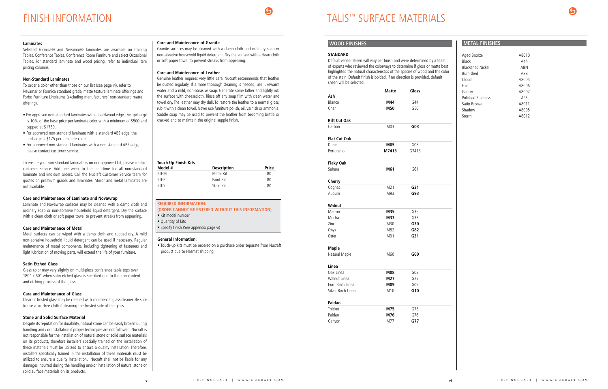# **WOOD FINISHES**

# **STANDARD**

Default veneer sheen will vary per finish and were determined by a team of experts who reviewed the colorways to determine if gloss or matte best highlighted the natural characteristics of the species of wood and the color of the stain. Default finish is bolded. If no direction is provided, default sheen will be selected.

|                     | Matte           | Gloss           |  |
|---------------------|-----------------|-----------------|--|
| Ash                 |                 |                 |  |
| Blanco              | M44             | G44             |  |
| Char                | M50             | G50             |  |
| <b>Rift Cut Oak</b> |                 |                 |  |
| Carbon              | M <sub>03</sub> | G03             |  |
| <b>Flat Cut Oak</b> |                 |                 |  |
| Dune                | M05             | G05             |  |
| Portobello          | M7413           | G7413           |  |
| <b>Flaky Oak</b>    |                 |                 |  |
| Sahara              | M61             | G61             |  |
| Cherry              |                 |                 |  |
| Cognac              | M21             | G <sub>21</sub> |  |
| Auburn              | M93             | G93             |  |
| Walnut              |                 |                 |  |
| Marron              | M35             | G35             |  |
| Mocha               | M33             | G33             |  |
| Zinc                | M30             | G30             |  |
| Onyx                | M82             | G82             |  |
| Otter               | M31             | G31             |  |
| <b>Maple</b>        |                 |                 |  |
| Natural Maple       | M60             | G60             |  |
| Linea               |                 |                 |  |
| Oak Linea           | M08             | G08             |  |
| Walnut Linea        | M27             | G27             |  |
| Euro Birch Linea    | M09             | G09             |  |
| Silver Birch Linea  | M10             | G10             |  |
| Paldao              |                 |                 |  |
| Thicket             | M75             | G75             |  |
| Paldao              | M76             | G76             |  |
| Canyon              | M77             | G77             |  |



# **METAL FINISHES**

| Aged Bronze               | A8010      |
|---------------------------|------------|
| <b>Black</b>              | A44        |
| <b>Blackened Nickel</b>   | ARN        |
| <b>Burnished</b>          | A88        |
| Cloud                     | A8004      |
| Foil                      | A8006      |
| Galaxy                    | A8007      |
| <b>Polished Stainless</b> | <b>APS</b> |
| Satin Bronze              | A8011      |
| Shadow                    | A8005      |
| Storm                     | A8012      |
|                           |            |

# TALIS™ SURFACE MATERIALS

### <span id="page-6-0"></span>**Laminates**

Selected Formica® and Nevamar® laminates are available on Training Tables, Conference Tables, Conference Room Furniture and select Occasional Tables. For standard laminate and wood pricing, refer to individual item pricing columns.

# **Non-Standard Laminates**

To order a color other than those on our list (see page vi), refer to Nevamar or Formica standard grade, matte texture laminate offerings and Forbo Furniture Linoleums (excluding manufacturers' non-standard matte offering).

- For approved non-standard laminates with a hardwood edge, the upcharge is 10% of the base price per laminate color with a minimum of \$500 and capped at \$1750.
- For approved non-standard laminate with a standard ABS edge, the upcharge is \$175 per laminate color.
- For approved non-standard laminates with a non standard ABS edge, please contact customer service.

To ensure your non standard laminate is on our approved list, please contact customer service. Add one week to the lead-time for all non-standard laminate and linoleum orders. Call the Nucraft Customer Service team for quotes on premium grades and laminates. Mirror and metal laminates are not available.

# **Care and Maintenance of Laminate and Novawrap**

Laminate and Novawrap surfaces may be cleaned with a damp cloth and ordinary soap or non-abrasive household liquid detergent. Dry the surface with a clean cloth or soft paper towel to prevent streaks from appearing.

# **Care and Maintenance of Metal**

Metal surfaces can be wiped with a damp cloth and rubbed dry. A mild non-abrasive household liquid detergent can be used if necessary. Regular maintenance of metal components, including tightening of fasteners and light lubrication of moving parts, will extend the life of your furniture.

# **Satin Etched Glass**

Glass color may vary slightly on multi-piece conference table tops over 180" x 60" when satin etched glass is specified due to the iron content and etching process of the glass.

# **Care and Maintenance of Glass**

Clear or frosted glass may be cleaned with commercial glass cleaner. Be sure to use a lint-free cloth if cleaning the frosted side of the glass.

# **Stone and Solid Surface Material**

Despite its reputation for durability, natural stone can be easily broken during handling and / or installation if proper techniques are not followed. Nucraft is not responsible for the installation of natural stone or solid surface materials on its products, therefore installers specially trained on the installation of these materials must be utilized to ensure a quality installation. Therefore, installers specifically trained in the installation of these materials must be utilized to ensure a quality installation. Nucraft shall not be liable for any damages incurred during the handling and/or installation of natural stone or solid surface materials on its products.

# **Care and Maintenance of Granite**

Granite surfaces may be cleaned with a damp cloth and ordinary soap or non-abrasive household liquid detergent. Dry the surface with a clean cloth or soft paper towel to prevent streaks from appearing.

# **Care and Maintenance of Leather**

Genuine leather requires very little care. Nucraft recommends that leather be dusted regularly. If a more thorough cleaning is needed, use lukewarm water and a mild, non-abrasive soap. Generate some lather and lightly rub the surface with cheesecloth. Rinse off any soap film with clean water and towel dry. The leather may dry dull. To restore the leather to a normal gloss, rub it with a clean towel. Never use furniture polish, oil, varnish or ammonia. Saddle soap may be used to prevent the leather from becoming brittle or cracked and to maintain the original supple finish.

| <b>REOUIRED INFORMATION:</b>                       |
|----------------------------------------------------|
| (ORDER CANNOT BE ENTERED WITHOUT THIS INFORMATION) |
| • Kit model number                                 |

• Quantity of kits

| <b>Touch Up Finish Kits</b> |                    |       |  |  |  |
|-----------------------------|--------------------|-------|--|--|--|
| Model #                     | <b>Description</b> | Price |  |  |  |
| KIT-M                       | Metal Kit          | 80    |  |  |  |
| KIT-P                       | Paint Kit          | 80    |  |  |  |
| KIT-S                       | Stain Kit          | 80    |  |  |  |

• Specify finish (See appendix page vi)

# **General Information:**

• Touch-up kits must be ordered on a purchase order separate from Nucraft product due to Hazmat shipping